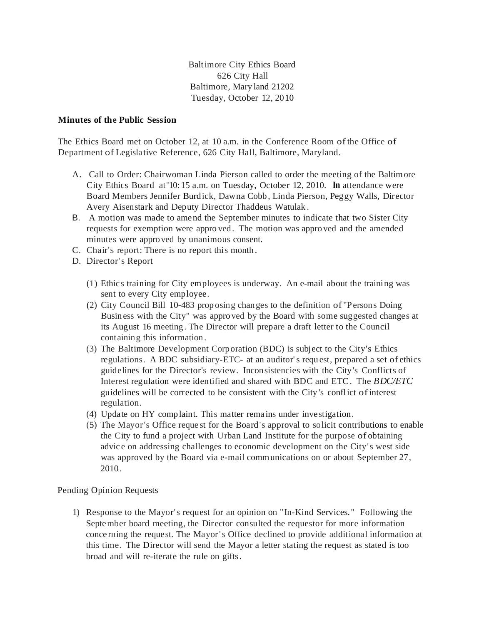Baltimore City Ethics Board 626 City Hall Baltimore, Mary land 21202 Tuesday, October 12, 20 10

## **Minutes of the Public Session**

The Ethics Board met on October 12, at 10 a.m. in the Conference Room of the Office of Department of Legislative Reference, 626 City Hall, Baltimore, Maryland.

- A. Call to Order: Chairwoman Linda Pierson called to order the meeting of the Baltim ore City Ethics Board at"10: 15 a.m. on Tuesday, October 12, 2010. **In** attendance were Board Members Jennifer Burdick, Dawna Cobb, Linda Pierson, Peggy Walls, Director Avery Aisenstark and Deputy Director Thaddeus Watulak .
- B. A motion was made to ame nd the September minutes to indicate that two Sister City requests for exemption were appro ved. The motion was appro ved and the amended minutes were appro ved by unanimous consent.
- C. Chair's report: There is no report this month.
- D. Director's Report
	- (1) Ethic s training for City employees is underway. An e-mail about the training was sent to every City employee.
	- (2) City Council Bill 10-483 prop osing changes to the definition of "Persons Doing Business with the City" was appro ved by the Board with some suggested changes at its August 16 meeting . The Director will prepare a draft letter to the Council containing this information .
	- (3) The Baltimore Development Corporation (BDC) is subject to the City's Ethics regulations. A BDC subsidiary-ETC- at an auditor's requ est, prepared a set of ethics guidelines for the Director's review. Inconsistencies with the City 's Conflicts of Interest regulation were identified and shared with BDC and ETC. The *BDC/ETC*  guidelines will be corrected to be consistent with the City 's conflict ofinterest regulation.
	- (4) Update on HY complaint. This matter remains under investigation.
	- (5) The Mayor's Office reque st for the Board's approval to solicit contributions to enable the City to fund a project with Urban Land Institute for the purpose of obtaining advic e on addressing challenges to economic development on the City' s west side was approved by the Board via e-mail comm unications on or about September 27, 2010 .

Pending Opinion Requests

1) Response to the Mayor's request for an opinion on "In-Kind Services." Following the September board meeting, the Director consulted the requestor for more information conce rning the request. The Mayor's Office declined to provide additional information at this time. The Director will send the Mayor a letter stating the request as stated is too broad and will re-iterate the rule on gifts.